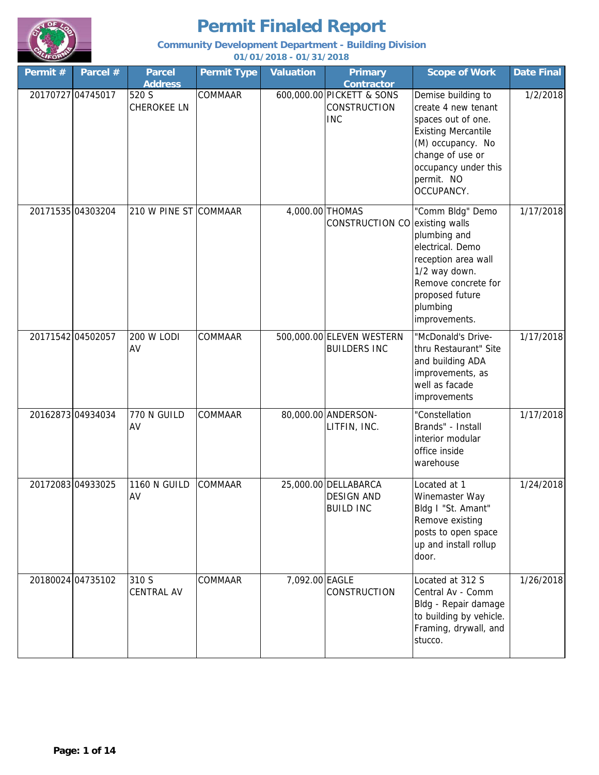

### **Community Development Department - Building Division**

| Permit # | Parcel #          | <b>Parcel</b><br><b>Address</b> | <b>Permit Type</b> | <b>Valuation</b> | <b>Primary</b><br><b>Contractor</b>                            | <b>Scope of Work</b>                                                                                                                                                                       | <b>Date Final</b> |
|----------|-------------------|---------------------------------|--------------------|------------------|----------------------------------------------------------------|--------------------------------------------------------------------------------------------------------------------------------------------------------------------------------------------|-------------------|
|          | 20170727 04745017 | 520 S<br><b>CHEROKEE LN</b>     | COMMAAR            |                  | 600,000.00 PICKETT & SONS<br><b>CONSTRUCTION</b><br><b>INC</b> | Demise building to<br>create 4 new tenant<br>spaces out of one.<br><b>Existing Mercantile</b><br>(M) occupancy. No<br>change of use or<br>occupancy under this<br>permit. NO<br>OCCUPANCY. | 1/2/2018          |
|          | 20171535 04303204 | 210 W PINE ST COMMAAR           |                    |                  | 4,000.00 THOMAS<br>CONSTRUCTION CO existing walls              | "Comm Bldg" Demo<br>plumbing and<br>electrical. Demo<br>reception area wall<br>1/2 way down.<br>Remove concrete for<br>proposed future<br>plumbing<br>improvements.                        | 1/17/2018         |
|          | 20171542 04502057 | <b>200 W LODI</b><br>AV         | COMMAAR            |                  | 500,000.00 ELEVEN WESTERN<br><b>BUILDERS INC</b>               | "McDonald's Drive-<br>thru Restaurant" Site<br>and building ADA<br>improvements, as<br>well as facade<br>improvements                                                                      | 1/17/2018         |
|          | 20162873 04934034 | 770 N GUILD<br>AV               | COMMAAR            |                  | 80,000.00 ANDERSON-<br>LITFIN, INC.                            | "Constellation<br>Brands" - Install<br>interior modular<br>office inside<br>warehouse                                                                                                      | 1/17/2018         |
|          | 20172083 04933025 | 1160 N GUILD<br>AV              | COMMAAR            |                  | 25,000.00 DELLABARCA<br><b>DESIGN AND</b><br><b>BUILD INC</b>  | Located at 1<br>Winemaster Way<br>Bldg I "St. Amant"<br>Remove existing<br>posts to open space<br>up and install rollup<br>door.                                                           | 1/24/2018         |
|          | 20180024 04735102 | 310 S<br>CENTRAL AV             | COMMAAR            | 7,092.00 EAGLE   | CONSTRUCTION                                                   | Located at 312 S<br>Central Av - Comm<br>Bldg - Repair damage<br>to building by vehicle.<br>Framing, drywall, and<br>stucco.                                                               | 1/26/2018         |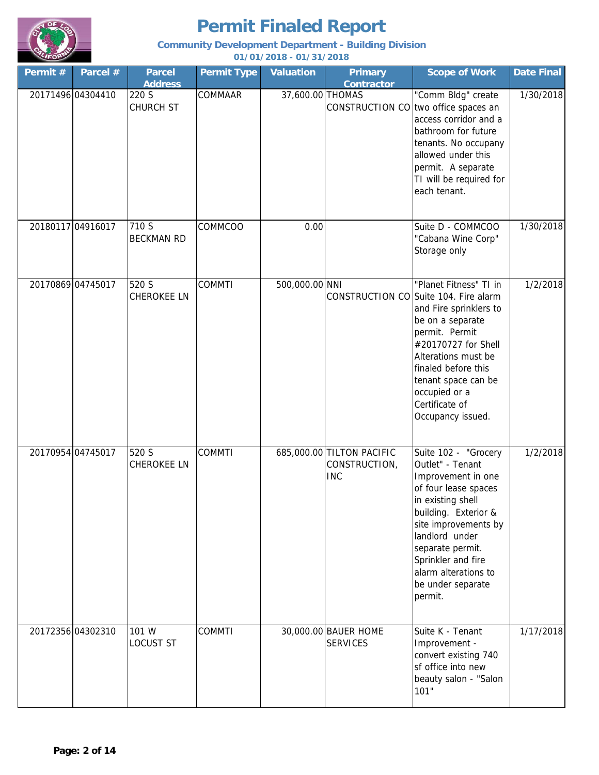

### **Community Development Department - Building Division**

| Permit #          | Parcel #          | <b>Parcel</b><br><b>Address</b> | <b>Permit Type</b> | <b>Valuation</b> | <b>Primary</b><br><b>Contractor</b>                      | <b>Scope of Work</b>                                                                                                                                                                                                                                                                | <b>Date Final</b> |
|-------------------|-------------------|---------------------------------|--------------------|------------------|----------------------------------------------------------|-------------------------------------------------------------------------------------------------------------------------------------------------------------------------------------------------------------------------------------------------------------------------------------|-------------------|
|                   | 20171496 04304410 | 220 S<br><b>CHURCH ST</b>       | COMMAAR            | 37,600.00 THOMAS |                                                          | "Comm Bldg" create<br>CONSTRUCTION CO two office spaces an<br>access corridor and a<br>bathroom for future<br>tenants. No occupany<br>allowed under this<br>permit. A separate<br>TI will be required for<br>each tenant.                                                           | 1/30/2018         |
|                   | 20180117 04916017 | 710 S<br><b>BECKMAN RD</b>      | COMMCOO            | 0.00             |                                                          | Suite D - COMMCOO<br>"Cabana Wine Corp"<br>Storage only                                                                                                                                                                                                                             | 1/30/2018         |
| 20170869 04745017 |                   | 520 S<br><b>CHEROKEE LN</b>     | <b>COMMTI</b>      | 500,000.00 NNI   |                                                          | "Planet Fitness" TI in<br>CONSTRUCTION CO Suite 104. Fire alarm<br>and Fire sprinklers to<br>be on a separate<br>permit. Permit<br>#20170727 for Shell<br>Alterations must be<br>finaled before this<br>tenant space can be<br>occupied or a<br>Certificate of<br>Occupancy issued. | 1/2/2018          |
| 20170954 04745017 |                   | 520 S<br><b>CHEROKEE LN</b>     | <b>COMMTI</b>      |                  | 685,000.00 TILTON PACIFIC<br>CONSTRUCTION,<br><b>INC</b> | Suite 102 - "Grocery<br>Outlet" - Tenant<br>Improvement in one<br>of four lease spaces<br>in existing shell<br>building. Exterior &<br>site improvements by<br>landlord under<br>separate permit.<br>Sprinkler and fire<br>alarm alterations to<br>be under separate<br>permit.     | 1/2/2018          |
|                   | 20172356 04302310 | 101 W<br><b>LOCUST ST</b>       | <b>COMMTI</b>      |                  | 30,000.00 BAUER HOME<br><b>SERVICES</b>                  | Suite K - Tenant<br>Improvement -<br>convert existing 740<br>sf office into new<br>beauty salon - "Salon<br>101"                                                                                                                                                                    | 1/17/2018         |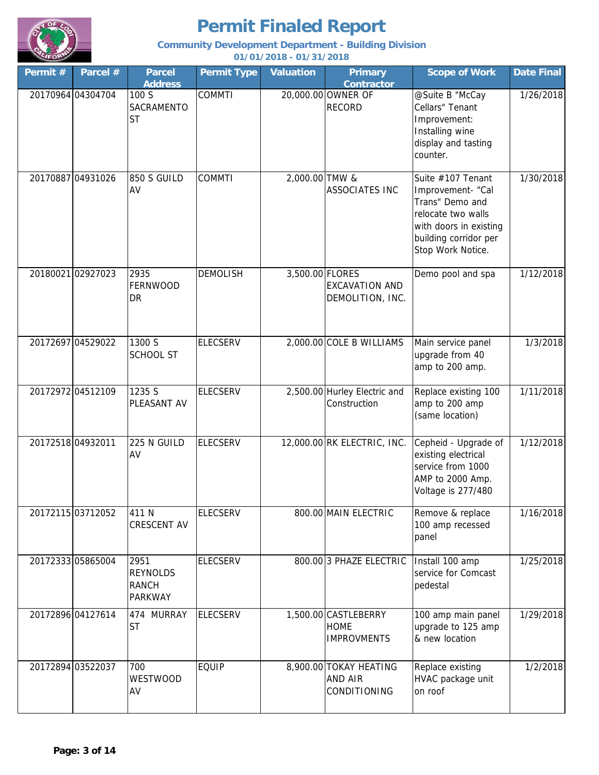

### **Community Development Department - Building Division**

| Permit #          | Parcel #          | <b>Parcel</b><br><b>Address</b>                           | <b>Permit Type</b> | <b>Valuation</b> | <b>Primary</b><br><b>Contractor</b>                       | <b>Scope of Work</b>                                                                                                                                    | <b>Date Final</b> |
|-------------------|-------------------|-----------------------------------------------------------|--------------------|------------------|-----------------------------------------------------------|---------------------------------------------------------------------------------------------------------------------------------------------------------|-------------------|
|                   | 20170964 04304704 | 100 S<br><b>SACRAMENTO</b><br><b>ST</b>                   | <b>COMMTI</b>      |                  | 20,000.00 OWNER OF<br><b>RECORD</b>                       | @Suite B "McCay<br>Cellars" Tenant<br>Improvement:<br>Installing wine<br>display and tasting<br>counter.                                                | 1/26/2018         |
|                   | 20170887 04931026 | <b>850 S GUILD</b><br>AV                                  | <b>COMMTI</b>      | 2,000.00 TMW &   | <b>ASSOCIATES INC</b>                                     | Suite #107 Tenant<br>Improvement- "Cal<br>Trans" Demo and<br>relocate two walls<br>with doors in existing<br>building corridor per<br>Stop Work Notice. | 1/30/2018         |
|                   | 20180021 02927023 | 2935<br>FERNWOOD<br>DR                                    | <b>DEMOLISH</b>    | 3,500.00 FLORES  | <b>EXCAVATION AND</b><br>DEMOLITION, INC.                 | Demo pool and spa                                                                                                                                       | 1/12/2018         |
|                   | 20172697 04529022 | 1300 S<br><b>SCHOOL ST</b>                                | <b>ELECSERV</b>    |                  | 2,000.00 COLE B WILLIAMS                                  | Main service panel<br>upgrade from 40<br>amp to 200 amp.                                                                                                | 1/3/2018          |
|                   | 20172972 04512109 | 1235 S<br>PLEASANT AV                                     | <b>ELECSERV</b>    |                  | 2,500.00 Hurley Electric and<br>Construction              | Replace existing 100<br>amp to 200 amp<br>(same location)                                                                                               | 1/11/2018         |
| 20172518 04932011 |                   | 225 N GUILD<br>AV                                         | <b>ELECSERV</b>    |                  | 12,000.00 RK ELECTRIC, INC.                               | Cepheid - Upgrade of<br>existing electrical<br>service from 1000<br>AMP to 2000 Amp.<br>Voltage is 277/480                                              | 1/12/2018         |
|                   | 20172115 03712052 | 411N<br><b>CRESCENT AV</b>                                | <b>ELECSERV</b>    |                  | 800.00 MAIN ELECTRIC                                      | Remove & replace<br>100 amp recessed<br>panel                                                                                                           | 1/16/2018         |
|                   | 20172333 05865004 | 2951<br><b>REYNOLDS</b><br><b>RANCH</b><br><b>PARKWAY</b> | <b>ELECSERV</b>    |                  | 800.00 3 PHAZE ELECTRIC                                   | Install 100 amp<br>service for Comcast<br>pedestal                                                                                                      | 1/25/2018         |
|                   | 20172896 04127614 | 474 MURRAY<br><b>ST</b>                                   | <b>ELECSERV</b>    |                  | 1,500.00 CASTLEBERRY<br><b>HOME</b><br><b>IMPROVMENTS</b> | 100 amp main panel<br>upgrade to 125 amp<br>& new location                                                                                              | 1/29/2018         |
|                   | 20172894 03522037 | 700<br><b>WESTWOOD</b><br>AV                              | <b>EQUIP</b>       |                  | 8,900.00 TOKAY HEATING<br><b>AND AIR</b><br>CONDITIONING  | Replace existing<br>HVAC package unit<br>on roof                                                                                                        | 1/2/2018          |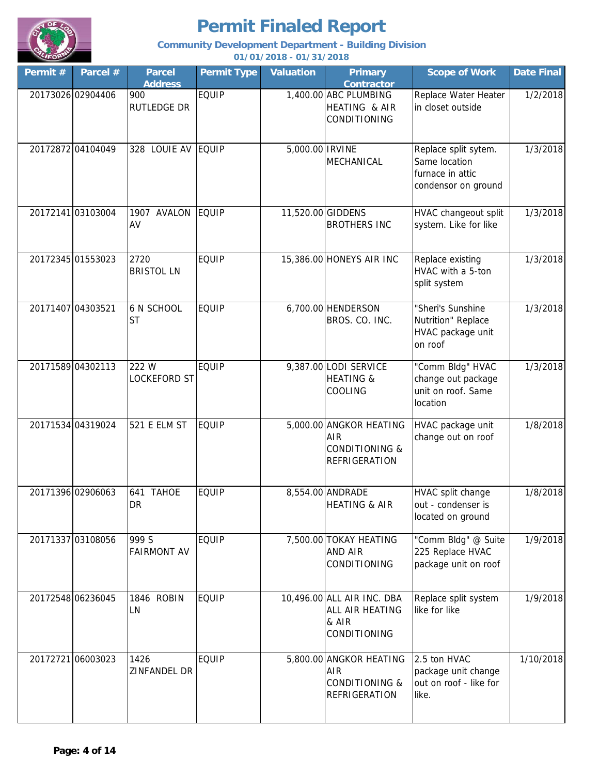

### **Community Development Department - Building Division**

| Permit # | Parcel #          | <b>Parcel</b><br><b>Address</b> | <b>Permit Type</b> | <b>Valuation</b> | <b>Primary</b><br><b>Contractor</b>                                                        | <b>Scope of Work</b>                                                             | <b>Date Final</b> |
|----------|-------------------|---------------------------------|--------------------|------------------|--------------------------------------------------------------------------------------------|----------------------------------------------------------------------------------|-------------------|
|          | 20173026 02904406 | 900<br><b>RUTLEDGE DR</b>       | <b>EQUIP</b>       |                  | 1,400.00 ABC PLUMBING<br>HEATING & AIR<br><b>CONDITIONING</b>                              | Replace Water Heater<br>in closet outside                                        | 1/2/2018          |
|          | 20172872 04104049 | 328 LOUIE AV EQUIP              |                    | 5,000.00 IRVINE  | MECHANICAL                                                                                 | Replace split sytem.<br>Same location<br>furnace in attic<br>condensor on ground | 1/3/2018          |
|          | 20172141 03103004 | 1907 AVALON<br>AV               | EQUIP              |                  | 11,520.00 GIDDENS<br><b>BROTHERS INC</b>                                                   | HVAC changeout split<br>system. Like for like                                    | 1/3/2018          |
|          | 20172345 01553023 | 2720<br><b>BRISTOL LN</b>       | <b>EQUIP</b>       |                  | 15,386.00 HONEYS AIR INC                                                                   | Replace existing<br>HVAC with a 5-ton<br>split system                            | 1/3/2018          |
|          | 20171407 04303521 | 6 N SCHOOL<br><b>ST</b>         | <b>EQUIP</b>       |                  | 6,700.00 HENDERSON<br>BROS. CO. INC.                                                       | "Sheri's Sunshine<br>Nutrition" Replace<br>HVAC package unit<br>on roof          | 1/3/2018          |
|          | 20171589 04302113 | 222 W<br><b>LOCKEFORD ST</b>    | <b>EQUIP</b>       |                  | 9,387.00 LODI SERVICE<br><b>HEATING &amp;</b><br>COOLING                                   | "Comm Bldg" HVAC<br>change out package<br>unit on roof. Same<br>location         | 1/3/2018          |
|          | 20171534 04319024 | 521 E ELM ST                    | <b>EQUIP</b>       |                  | 5,000.00 ANGKOR HEATING<br><b>AIR</b><br><b>CONDITIONING &amp;</b><br><b>REFRIGERATION</b> | HVAC package unit<br>change out on roof                                          | 1/8/2018          |
|          | 20171396 02906063 | 641 TAHOE<br>DR.                | <b>EQUIP</b>       |                  | 8,554.00 ANDRADE<br>HEATING & AIR                                                          | HVAC split change<br>out - condenser is<br>located on ground                     | 1/8/2018          |
|          | 20171337 03108056 | 999 S<br><b>FAIRMONT AV</b>     | <b>EQUIP</b>       |                  | 7,500.00 TOKAY HEATING<br>AND AIR<br>CONDITIONING                                          | "Comm Bldg" @ Suite<br>225 Replace HVAC<br>package unit on roof                  | 1/9/2018          |
|          | 20172548 06236045 | 1846 ROBIN<br>LN                | <b>EQUIP</b>       |                  | 10,496.00 ALL AIR INC. DBA<br>ALL AIR HEATING<br>& AIR<br>CONDITIONING                     | Replace split system<br>like for like                                            | 1/9/2018          |
|          | 20172721 06003023 | 1426<br>ZINFANDEL DR            | <b>EQUIP</b>       |                  | 5,800.00 ANGKOR HEATING<br>AIR<br><b>CONDITIONING &amp;</b><br><b>REFRIGERATION</b>        | 2.5 ton HVAC<br>package unit change<br>out on roof - like for<br>like.           | 1/10/2018         |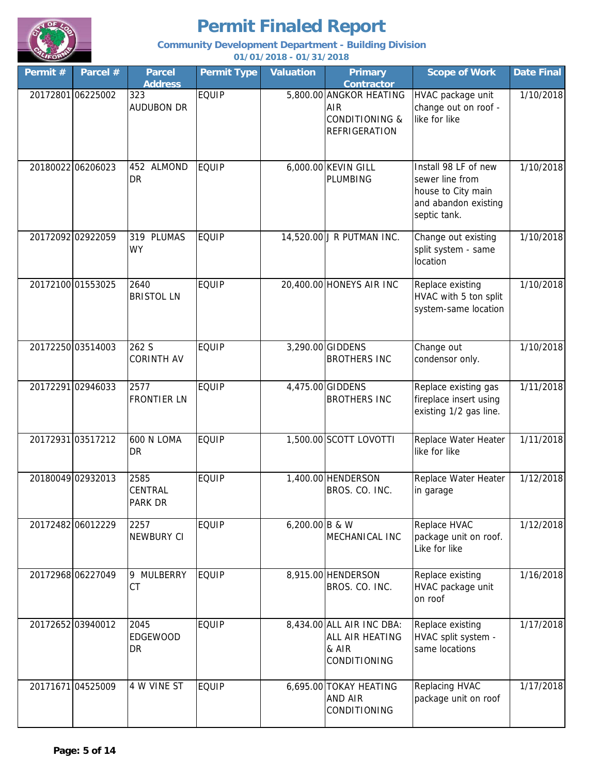

### **Community Development Department - Building Division**

| Permit # | Parcel #          | <b>Parcel</b><br><b>Address</b> | <b>Permit Type</b> | <b>Valuation</b> | <b>Primary</b><br><b>Contractor</b>                                                        | <b>Scope of Work</b>                                                                                  | <b>Date Final</b> |
|----------|-------------------|---------------------------------|--------------------|------------------|--------------------------------------------------------------------------------------------|-------------------------------------------------------------------------------------------------------|-------------------|
|          | 20172801 06225002 | 323<br><b>AUDUBON DR</b>        | <b>EQUIP</b>       |                  | 5,800.00 ANGKOR HEATING<br><b>AIR</b><br><b>CONDITIONING &amp;</b><br><b>REFRIGERATION</b> | HVAC package unit<br>change out on roof -<br>like for like                                            | 1/10/2018         |
|          | 20180022 06206023 | 452 ALMOND<br>DR                | <b>EQUIP</b>       |                  | 6,000.00 KEVIN GILL<br>PLUMBING                                                            | Install 98 LF of new<br>sewer line from<br>house to City main<br>and abandon existing<br>septic tank. | 1/10/2018         |
|          | 20172092 02922059 | 319 PLUMAS<br><b>WY</b>         | <b>EQUIP</b>       |                  | 14,520.00 J R PUTMAN INC.                                                                  | Change out existing<br>split system - same<br>location                                                | 1/10/2018         |
|          | 20172100 01553025 | 2640<br><b>BRISTOL LN</b>       | <b>EQUIP</b>       |                  | 20,400.00 HONEYS AIR INC                                                                   | Replace existing<br>HVAC with 5 ton split<br>system-same location                                     | 1/10/2018         |
|          | 20172250 03514003 | 262 S<br><b>CORINTH AV</b>      | <b>EQUIP</b>       |                  | 3,290.00 GIDDENS<br><b>BROTHERS INC</b>                                                    | Change out<br>condensor only.                                                                         | 1/10/2018         |
|          | 20172291 02946033 | 2577<br><b>FRONTIER LN</b>      | <b>EQUIP</b>       |                  | 4,475.00 GIDDENS<br><b>BROTHERS INC</b>                                                    | Replace existing gas<br>fireplace insert using<br>existing 1/2 gas line.                              | 1/11/2018         |
|          | 20172931 03517212 | 600 N LOMA<br>DR                | <b>EQUIP</b>       |                  | 1,500.00 SCOTT LOVOTTI                                                                     | Replace Water Heater<br>like for like                                                                 | 1/11/2018         |
|          | 20180049 02932013 | 2585<br>CENTRAL<br>PARK DR      | <b>EQUIP</b>       |                  | 1,400.00 HENDERSON<br>BROS. CO. INC.                                                       | Replace Water Heater<br>in garage                                                                     | 1/12/2018         |
|          | 20172482 06012229 | 2257<br>NEWBURY CI              | <b>EQUIP</b>       | 6,200.00 B & W   | MECHANICAL INC                                                                             | Replace HVAC<br>package unit on roof.<br>Like for like                                                | 1/12/2018         |
|          | 20172968 06227049 | 9 MULBERRY<br>CT                | <b>EQUIP</b>       |                  | 8,915.00 HENDERSON<br>BROS. CO. INC.                                                       | Replace existing<br>HVAC package unit<br>on roof                                                      | 1/16/2018         |
|          | 20172652 03940012 | 2045<br><b>EDGEWOOD</b><br>DR   | <b>EQUIP</b>       |                  | 8,434.00 ALL AIR INC DBA:<br>ALL AIR HEATING<br>& AIR<br><b>CONDITIONING</b>               | Replace existing<br>HVAC split system -<br>same locations                                             | 1/17/2018         |
|          | 20171671 04525009 | 4 W VINE ST                     | <b>EQUIP</b>       |                  | 6,695.00 TOKAY HEATING<br><b>AND AIR</b><br>CONDITIONING                                   | Replacing HVAC<br>package unit on roof                                                                | 1/17/2018         |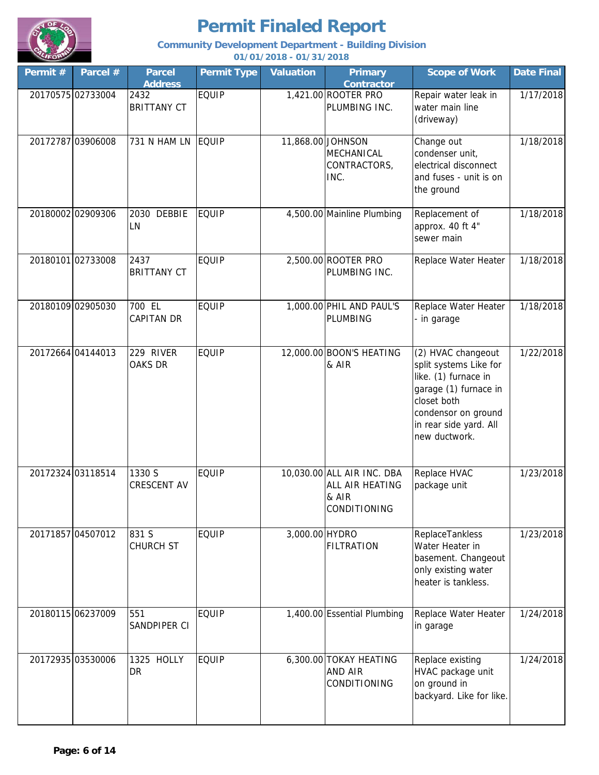

### **Community Development Department - Building Division**

| Permit #          | Parcel #          | <b>Parcel</b><br><b>Address</b> | <b>Permit Type</b> | <b>Valuation</b> | <b>Primary</b><br><b>Contractor</b>                                    | <b>Scope of Work</b>                                                                                                                                                           | <b>Date Final</b> |
|-------------------|-------------------|---------------------------------|--------------------|------------------|------------------------------------------------------------------------|--------------------------------------------------------------------------------------------------------------------------------------------------------------------------------|-------------------|
|                   | 20170575 02733004 | 2432<br><b>BRITTANY CT</b>      | <b>EQUIP</b>       |                  | 1,421.00 ROOTER PRO<br>PLUMBING INC.                                   | Repair water leak in<br>water main line<br>(driveway)                                                                                                                          | 1/17/2018         |
|                   | 20172787 03906008 | 731 N HAM LN                    | <b>EQUIP</b>       |                  | 11,868.00 JOHNSON<br>MECHANICAL<br>CONTRACTORS,<br>INC.                | Change out<br>condenser unit,<br>electrical disconnect<br>and fuses - unit is on<br>the ground                                                                                 | 1/18/2018         |
|                   | 20180002 02909306 | 2030 DEBBIE<br>LN               | <b>EQUIP</b>       |                  | 4,500.00 Mainline Plumbing                                             | Replacement of<br>approx. 40 ft 4"<br>sewer main                                                                                                                               | 1/18/2018         |
| 20180101 02733008 |                   | 2437<br><b>BRITTANY CT</b>      | <b>EQUIP</b>       |                  | 2,500.00 ROOTER PRO<br>PLUMBING INC.                                   | Replace Water Heater                                                                                                                                                           | 1/18/2018         |
|                   | 20180109 02905030 | 700 EL<br><b>CAPITAN DR</b>     | <b>EQUIP</b>       |                  | 1,000.00 PHIL AND PAUL'S<br>PLUMBING                                   | Replace Water Heater<br>- in garage                                                                                                                                            | 1/18/2018         |
|                   | 20172664 04144013 | 229 RIVER<br><b>OAKS DR</b>     | <b>EQUIP</b>       |                  | 12,000.00 BOON'S HEATING<br>& AIR                                      | (2) HVAC changeout<br>split systems Like for<br>like. (1) furnace in<br>garage (1) furnace in<br>closet both<br>condensor on ground<br>in rear side yard. All<br>new ductwork. | 1/22/2018         |
|                   | 20172324 03118514 | 1330 S<br><b>CRESCENT AV</b>    | <b>EQUIP</b>       |                  | 10,030.00 ALL AIR INC. DBA<br>ALL AIR HEATING<br>& AIR<br>CONDITIONING | Replace HVAC<br>package unit                                                                                                                                                   | 1/23/2018         |
|                   | 20171857 04507012 | 831 S<br><b>CHURCH ST</b>       | <b>EQUIP</b>       | 3,000.00 HYDRO   | <b>FILTRATION</b>                                                      | ReplaceTankless<br>Water Heater in<br>basement. Changeout<br>only existing water<br>heater is tankless.                                                                        | 1/23/2018         |
|                   | 20180115 06237009 | 551<br>SANDPIPER CI             | <b>EQUIP</b>       |                  | 1,400.00 Essential Plumbing                                            | Replace Water Heater<br>in garage                                                                                                                                              | 1/24/2018         |
|                   | 20172935 03530006 | 1325 HOLLY<br>DR                | <b>EQUIP</b>       |                  | 6,300.00 TOKAY HEATING<br>AND AIR<br>CONDITIONING                      | Replace existing<br>HVAC package unit<br>on ground in<br>backyard. Like for like.                                                                                              | 1/24/2018         |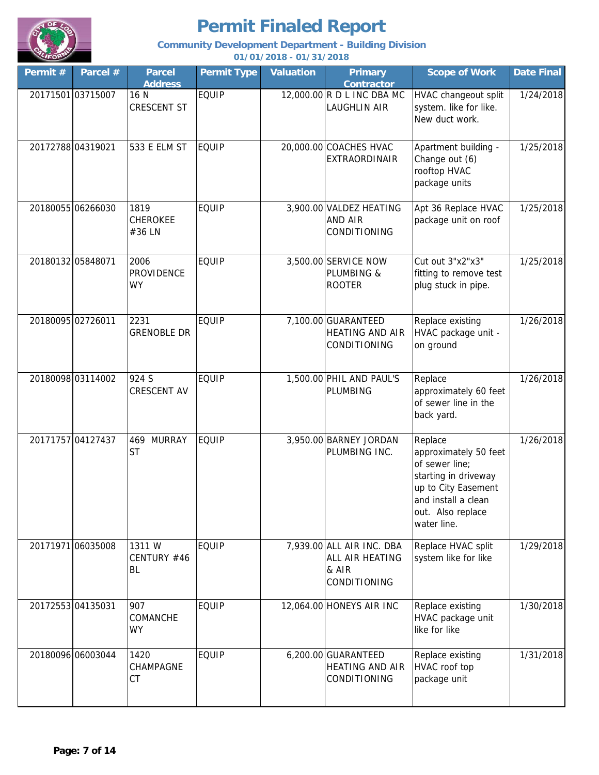

### **Community Development Department - Building Division**

| Permit #          | Parcel #          | <b>Parcel</b><br><b>Address</b>    | <b>Permit Type</b> | <b>Valuation</b> | <b>Primary</b><br>Contractor                                                 | <b>Scope of Work</b>                                                                                                                                         | <b>Date Final</b> |
|-------------------|-------------------|------------------------------------|--------------------|------------------|------------------------------------------------------------------------------|--------------------------------------------------------------------------------------------------------------------------------------------------------------|-------------------|
| 20171501 03715007 |                   | 16 N<br><b>CRESCENT ST</b>         | <b>EQUIP</b>       |                  | 12,000.00 R D L INC DBA MC<br><b>LAUGHLIN AIR</b>                            | HVAC changeout split<br>system. like for like.<br>New duct work.                                                                                             | 1/24/2018         |
| 20172788 04319021 |                   | 533 E ELM ST                       | <b>EQUIP</b>       |                  | 20,000.00 COACHES HVAC<br><b>EXTRAORDINAIR</b>                               | Apartment building -<br>Change out (6)<br>rooftop HVAC<br>package units                                                                                      | 1/25/2018         |
| 20180055 06266030 |                   | 1819<br><b>CHEROKEE</b><br>#36 LN  | <b>EQUIP</b>       |                  | 3,900.00 VALDEZ HEATING<br><b>AND AIR</b><br>CONDITIONING                    | Apt 36 Replace HVAC<br>package unit on roof                                                                                                                  | 1/25/2018         |
| 20180132 05848071 |                   | 2006<br>PROVIDENCE<br><b>WY</b>    | <b>EQUIP</b>       |                  | 3,500.00 SERVICE NOW<br>PLUMBING &<br><b>ROOTER</b>                          | Cut out 3"x2"x3"<br>fitting to remove test<br>plug stuck in pipe.                                                                                            | 1/25/2018         |
| 20180095 02726011 |                   | 2231<br><b>GRENOBLE DR</b>         | <b>EQUIP</b>       |                  | 7,100.00 GUARANTEED<br><b>HEATING AND AIR</b><br>CONDITIONING                | Replace existing<br>HVAC package unit -<br>on ground                                                                                                         | 1/26/2018         |
|                   | 20180098 03114002 | 924 S<br>CRESCENT AV               | <b>EQUIP</b>       |                  | 1,500.00 PHIL AND PAUL'S<br>PLUMBING                                         | Replace<br>approximately 60 feet<br>of sewer line in the<br>back yard.                                                                                       | 1/26/2018         |
| 20171757 04127437 |                   | 469 MURRAY<br><b>ST</b>            | <b>EQUIP</b>       |                  | 3,950.00 BARNEY JORDAN<br>PLUMBING INC.                                      | Replace<br>approximately 50 feet<br>of sewer line;<br>starting in driveway<br>up to City Easement<br>and install a clean<br>out. Also replace<br>water line. | 1/26/2018         |
| 20171971 06035008 |                   | 1311 W<br>CENTURY #46<br><b>BL</b> | <b>EQUIP</b>       |                  | 7,939.00 ALL AIR INC. DBA<br>ALL AIR HEATING<br>& AIR<br><b>CONDITIONING</b> | Replace HVAC split<br>system like for like                                                                                                                   | 1/29/2018         |
| 20172553 04135031 |                   | 907<br>COMANCHE<br><b>WY</b>       | <b>EQUIP</b>       |                  | 12,064.00 HONEYS AIR INC                                                     | Replace existing<br>HVAC package unit<br>like for like                                                                                                       | 1/30/2018         |
| 20180096 06003044 |                   | 1420<br>CHAMPAGNE<br>CT            | <b>EQUIP</b>       |                  | 6,200.00 GUARANTEED<br><b>HEATING AND AIR</b><br>CONDITIONING                | Replace existing<br>HVAC roof top<br>package unit                                                                                                            | 1/31/2018         |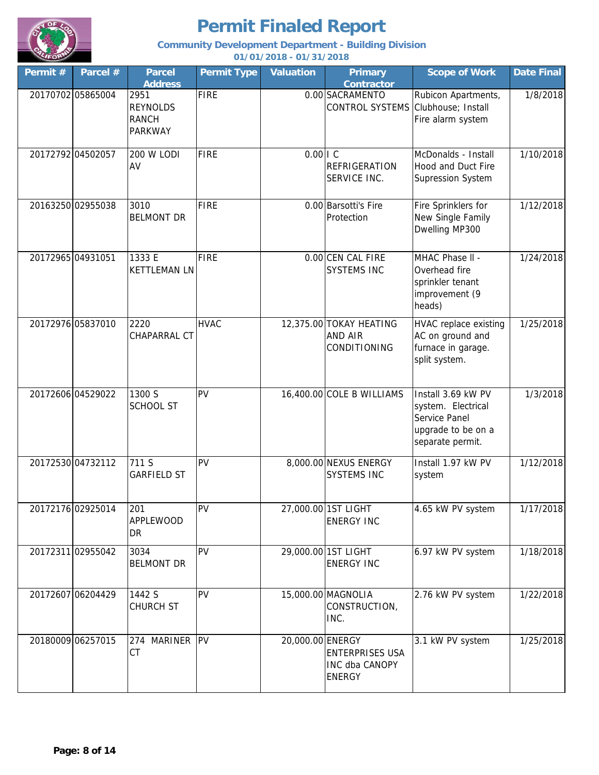

### **Community Development Department - Building Division**

| Permit #          | Parcel #          | <b>Parcel</b><br><b>Address</b>                           | <b>Permit Type</b> | <b>Valuation</b> | <b>Primary</b><br><b>Contractor</b>                              | <b>Scope of Work</b>                                                                                | <b>Date Final</b> |
|-------------------|-------------------|-----------------------------------------------------------|--------------------|------------------|------------------------------------------------------------------|-----------------------------------------------------------------------------------------------------|-------------------|
|                   | 20170702 05865004 | 2951<br><b>REYNOLDS</b><br><b>RANCH</b><br><b>PARKWAY</b> | <b>FIRE</b>        |                  | 0.00 SACRAMENTO<br>CONTROL SYSTEMS Clubhouse; Install            | Rubicon Apartments,<br>Fire alarm system                                                            | 1/8/2018          |
| 20172792 04502057 |                   | 200 W LODI<br>AV                                          | <b>FIRE</b>        | $0.00$   $C$     | <b>REFRIGERATION</b><br>SERVICE INC.                             | McDonalds - Install<br>Hood and Duct Fire<br><b>Supression System</b>                               | 1/10/2018         |
|                   | 20163250 02955038 | 3010<br><b>BELMONT DR</b>                                 | <b>FIRE</b>        |                  | 0.00 Barsotti's Fire<br>Protection                               | Fire Sprinklers for<br>New Single Family<br>Dwelling MP300                                          | 1/12/2018         |
| 20172965 04931051 |                   | 1333 E<br><b>KETTLEMAN LN</b>                             | <b>FIRE</b>        |                  | 0.00 CEN CAL FIRE<br><b>SYSTEMS INC</b>                          | MHAC Phase II -<br>Overhead fire<br>sprinkler tenant<br>improvement (9<br>heads)                    | 1/24/2018         |
|                   | 20172976 05837010 | 2220<br>CHAPARRAL CT                                      | <b>HVAC</b>        |                  | 12,375.00 TOKAY HEATING<br><b>AND AIR</b><br>CONDITIONING        | HVAC replace existing<br>AC on ground and<br>furnace in garage.<br>split system.                    | 1/25/2018         |
|                   | 20172606 04529022 | 1300 S<br><b>SCHOOL ST</b>                                | PV                 |                  | 16,400.00 COLE B WILLIAMS                                        | Install 3.69 kW PV<br>system. Electrical<br>Service Panel<br>upgrade to be on a<br>separate permit. | 1/3/2018          |
|                   | 20172530 04732112 | 711 S<br><b>GARFIELD ST</b>                               | PV                 |                  | 8,000.00 NEXUS ENERGY<br><b>SYSTEMS INC</b>                      | Install 1.97 kW PV<br>system                                                                        | 1/12/2018         |
|                   | 20172176 02925014 | 201<br><b>APPLEWOOD</b><br>DR                             | PV                 |                  | 27,000.00 1ST LIGHT<br><b>ENERGY INC</b>                         | 4.65 kW PV system                                                                                   | 1/17/2018         |
|                   | 20172311 02955042 | 3034<br><b>BELMONT DR</b>                                 | PV                 |                  | 29,000.00 1ST LIGHT<br><b>ENERGY INC</b>                         | 6.97 kW PV system                                                                                   | 1/18/2018         |
|                   | 20172607 06204429 | 1442 S<br>CHURCH ST                                       | PV                 |                  | 15,000.00 MAGNOLIA<br>CONSTRUCTION,<br>INC.                      | 2.76 kW PV system                                                                                   | 1/22/2018         |
|                   | 20180009 06257015 | 274 MARINER<br><b>CT</b>                                  | PV                 | 20,000.00 ENERGY | <b>ENTERPRISES USA</b><br><b>INC dba CANOPY</b><br><b>ENERGY</b> | 3.1 kW PV system                                                                                    | 1/25/2018         |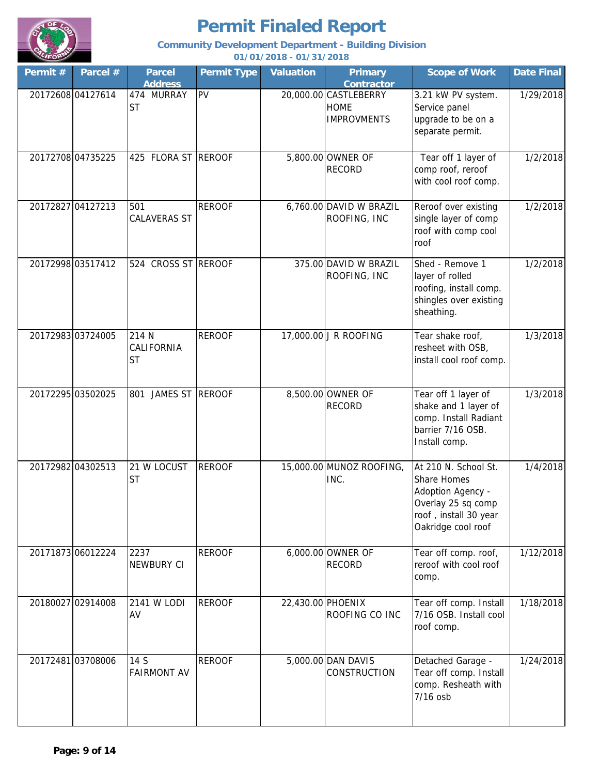

### **Community Development Department - Building Division**

| Permit # | Parcel #          | <b>Parcel</b><br><b>Address</b>  | <b>Permit Type</b> | <b>Valuation</b>  | <b>Primary</b><br>Contractor                               | <b>Scope of Work</b>                                                                                                          | <b>Date Final</b> |
|----------|-------------------|----------------------------------|--------------------|-------------------|------------------------------------------------------------|-------------------------------------------------------------------------------------------------------------------------------|-------------------|
|          | 20172608 04127614 | 474 MURRAY<br><b>ST</b>          | PV                 |                   | 20,000.00 CASTLEBERRY<br><b>HOME</b><br><b>IMPROVMENTS</b> | 3.21 kW PV system.<br>Service panel<br>upgrade to be on a<br>separate permit.                                                 | 1/29/2018         |
|          | 20172708 04735225 | 425 FLORA ST REROOF              |                    |                   | 5,800.00 OWNER OF<br><b>RECORD</b>                         | Tear off 1 layer of<br>comp roof, reroof<br>with cool roof comp.                                                              | 1/2/2018          |
|          | 20172827 04127213 | 501<br><b>CALAVERAS ST</b>       | <b>REROOF</b>      |                   | 6,760.00 DAVID W BRAZIL<br>ROOFING, INC                    | Reroof over existing<br>single layer of comp<br>roof with comp cool<br>roof                                                   | 1/2/2018          |
|          | 20172998 03517412 | 524 CROSS ST REROOF              |                    |                   | 375.00 DAVID W BRAZIL<br>ROOFING, INC                      | Shed - Remove 1<br>layer of rolled<br>roofing, install comp.<br>shingles over existing<br>sheathing.                          | 1/2/2018          |
|          | 20172983 03724005 | 214 N<br>CALIFORNIA<br><b>ST</b> | <b>REROOF</b>      |                   | 17,000.00 J R ROOFING                                      | Tear shake roof,<br>resheet with OSB,<br>install cool roof comp.                                                              | 1/3/2018          |
|          | 20172295 03502025 | 801 JAMES ST REROOF              |                    |                   | 8,500.00 OWNER OF<br><b>RECORD</b>                         | Tear off 1 layer of<br>shake and 1 layer of<br>comp. Install Radiant<br>barrier 7/16 OSB.<br>Install comp.                    | 1/3/2018          |
|          | 20172982 04302513 | 21 W LOCUST<br><b>ST</b>         | <b>REROOF</b>      |                   | 15,000.00 MUNOZ ROOFING,<br>INC.                           | At 210 N. School St.<br>Share Homes<br>Adoption Agency -<br>Overlay 25 sq comp<br>roof, install 30 year<br>Oakridge cool roof | 1/4/2018          |
|          | 20171873 06012224 | 2237<br><b>NEWBURY CI</b>        | <b>REROOF</b>      |                   | 6,000.00 OWNER OF<br><b>RECORD</b>                         | Tear off comp. roof,<br>reroof with cool roof<br>comp.                                                                        | 1/12/2018         |
|          | 20180027 02914008 | 2141 W LODI<br>AV                | <b>REROOF</b>      | 22,430.00 PHOENIX | ROOFING CO INC                                             | Tear off comp. Install<br>7/16 OSB. Install cool<br>roof comp.                                                                | 1/18/2018         |
|          | 20172481 03708006 | 14 S<br><b>FAIRMONT AV</b>       | <b>REROOF</b>      |                   | 5,000.00 DAN DAVIS<br>CONSTRUCTION                         | Detached Garage -<br>Tear off comp. Install<br>comp. Resheath with<br>7/16 osb                                                | 1/24/2018         |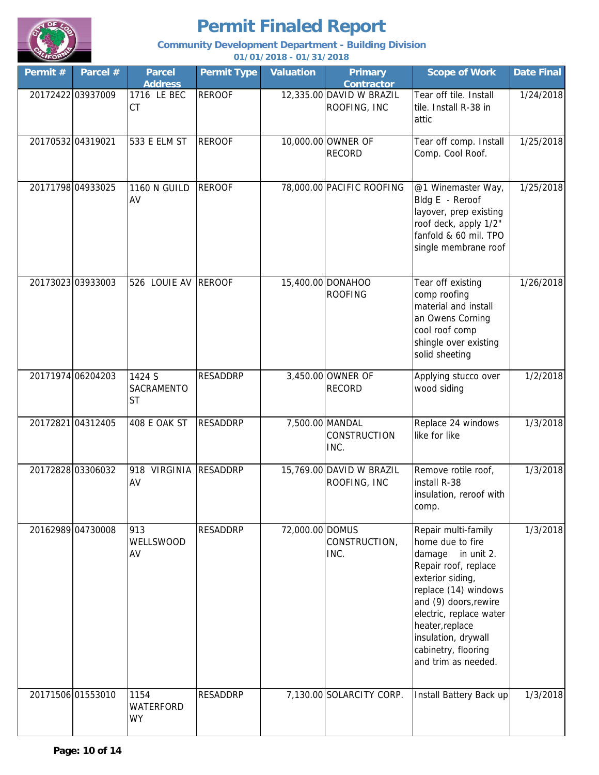

### **Community Development Department - Building Division**

| Permit #          | Parcel #          | <b>Parcel</b><br><b>Address</b>   | <b>Permit Type</b> | <b>Valuation</b> | <b>Primary</b><br><b>Contractor</b>      | <b>Scope of Work</b>                                                                                                                                                                                                                                                         | <b>Date Final</b> |
|-------------------|-------------------|-----------------------------------|--------------------|------------------|------------------------------------------|------------------------------------------------------------------------------------------------------------------------------------------------------------------------------------------------------------------------------------------------------------------------------|-------------------|
|                   | 20172422 03937009 | 1716 LE BEC<br>CT                 | <b>REROOF</b>      |                  | 12,335.00 DAVID W BRAZIL<br>ROOFING, INC | Tear off tile. Install<br>tile. Install R-38 in<br>attic                                                                                                                                                                                                                     | 1/24/2018         |
| 20170532 04319021 |                   | 533 E ELM ST                      | <b>REROOF</b>      |                  | 10,000.00 OWNER OF<br><b>RECORD</b>      | Tear off comp. Install<br>Comp. Cool Roof.                                                                                                                                                                                                                                   | 1/25/2018         |
|                   | 20171798 04933025 | <b>1160 N GUILD</b><br>AV         | <b>REROOF</b>      |                  | 78,000.00 PACIFIC ROOFING                | @1 Winemaster Way,<br>Bldg E - Reroof<br>layover, prep existing<br>roof deck, apply 1/2"<br>fanfold & 60 mil. TPO<br>single membrane roof                                                                                                                                    | 1/25/2018         |
|                   | 20173023 03933003 | 526 LOUIE AV                      | <b>REROOF</b>      |                  | 15,400.00 DONAHOO<br><b>ROOFING</b>      | Tear off existing<br>comp roofing<br>material and install<br>an Owens Corning<br>cool roof comp<br>shingle over existing<br>solid sheeting                                                                                                                                   | 1/26/2018         |
|                   | 20171974 06204203 | 1424 S<br>SACRAMENTO<br><b>ST</b> | <b>RESADDRP</b>    |                  | 3,450.00 OWNER OF<br><b>RECORD</b>       | Applying stucco over<br>wood siding                                                                                                                                                                                                                                          | 1/2/2018          |
|                   | 20172821 04312405 | 408 E OAK ST                      | <b>RESADDRP</b>    |                  | 7,500.00 MANDAL<br>CONSTRUCTION<br>INC.  | Replace 24 windows<br>like for like                                                                                                                                                                                                                                          | 1/3/2018          |
|                   | 20172828 03306032 | 918 VIRGINIA<br>AV                | <b>RESADDRP</b>    |                  | 15,769.00 DAVID W BRAZIL<br>ROOFING, INC | Remove rotile roof,<br>install R-38<br>insulation, reroof with<br>comp.                                                                                                                                                                                                      | 1/3/2018          |
|                   | 20162989 04730008 | 913<br>WELLSWOOD<br>AV            | RESADDRP           | 72,000.00 DOMUS  | CONSTRUCTION,<br>INC.                    | Repair multi-family<br>home due to fire<br>damage in unit 2.<br>Repair roof, replace<br>exterior siding,<br>replace (14) windows<br>and (9) doors, rewire<br>electric, replace water<br>heater, replace<br>insulation, drywall<br>cabinetry, flooring<br>and trim as needed. | 1/3/2018          |
|                   | 20171506 01553010 | 1154<br>WATERFORD<br><b>WY</b>    | <b>RESADDRP</b>    |                  | 7,130.00 SOLARCITY CORP.                 | Install Battery Back up                                                                                                                                                                                                                                                      | 1/3/2018          |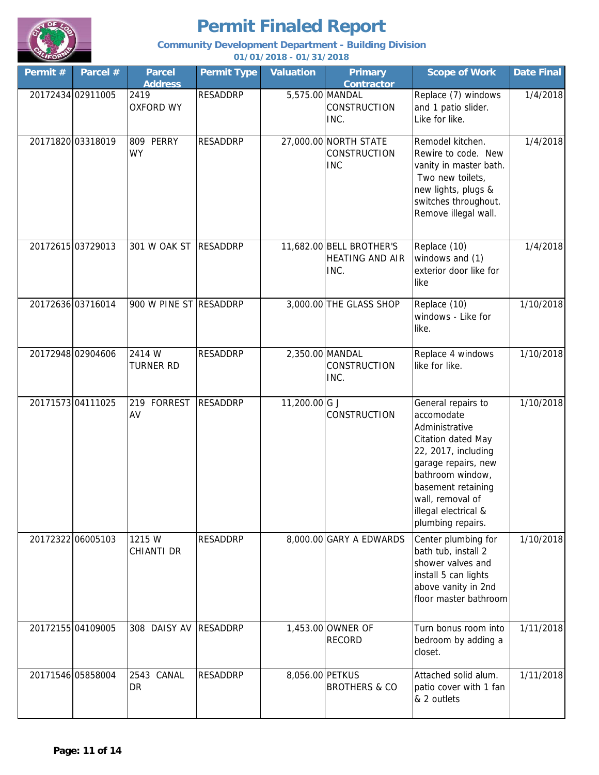

### **Community Development Department - Building Division**

| Permit # | Parcel #          | <b>Parcel</b><br><b>Address</b> | <b>Permit Type</b> | <b>Valuation</b> | <b>Primary</b><br><b>Contractor</b>                        | <b>Scope of Work</b>                                                                                                                                                                                                              | <b>Date Final</b> |
|----------|-------------------|---------------------------------|--------------------|------------------|------------------------------------------------------------|-----------------------------------------------------------------------------------------------------------------------------------------------------------------------------------------------------------------------------------|-------------------|
|          | 20172434 02911005 | 2419<br><b>OXFORD WY</b>        | <b>RESADDRP</b>    |                  | 5,575.00 MANDAL<br><b>CONSTRUCTION</b><br>INC.             | Replace (7) windows<br>and 1 patio slider.<br>Like for like.                                                                                                                                                                      | 1/4/2018          |
|          | 20171820 03318019 | 809 PERRY<br><b>WY</b>          | <b>RESADDRP</b>    |                  | 27,000.00 NORTH STATE<br><b>CONSTRUCTION</b><br><b>INC</b> | Remodel kitchen.<br>Rewire to code. New<br>vanity in master bath.<br>Two new toilets,<br>new lights, plugs &<br>switches throughout.<br>Remove illegal wall.                                                                      | 1/4/2018          |
|          | 20172615 03729013 | 301 W OAK ST                    | <b>RESADDRP</b>    |                  | 11,682.00 BELL BROTHER'S<br><b>HEATING AND AIR</b><br>INC. | Replace (10)<br>windows and (1)<br>exterior door like for<br>like                                                                                                                                                                 | 1/4/2018          |
|          | 20172636 03716014 | 900 W PINE ST RESADDRP          |                    |                  | 3,000.00 THE GLASS SHOP                                    | Replace (10)<br>windows - Like for<br>like.                                                                                                                                                                                       | 1/10/2018         |
|          | 20172948 02904606 | 2414 W<br><b>TURNER RD</b>      | <b>RESADDRP</b>    |                  | 2,350.00 MANDAL<br>CONSTRUCTION<br>INC.                    | Replace 4 windows<br>like for like.                                                                                                                                                                                               | 1/10/2018         |
|          | 20171573 04111025 | 219 FORREST<br>AV               | <b>RESADDRP</b>    | 11,200.00 G J    | CONSTRUCTION                                               | General repairs to<br>accomodate<br>Administrative<br>Citation dated May<br>22, 2017, including<br>garage repairs, new<br>bathroom window,<br>basement retaining<br>wall, removal of<br>illegal electrical &<br>plumbing repairs. | 1/10/2018         |
|          | 20172322 06005103 | 1215 W<br><b>CHIANTI DR</b>     | <b>RESADDRP</b>    |                  | 8,000.00 GARY A EDWARDS                                    | Center plumbing for<br>bath tub, install 2<br>shower valves and<br>install 5 can lights<br>above vanity in 2nd<br>floor master bathroom                                                                                           | 1/10/2018         |
|          | 20172155 04109005 | 308 DAISY AV                    | <b>RESADDRP</b>    |                  | 1,453.00 OWNER OF<br><b>RECORD</b>                         | Turn bonus room into<br>bedroom by adding a<br>closet.                                                                                                                                                                            | 1/11/2018         |
|          | 20171546 05858004 | 2543 CANAL<br><b>DR</b>         | <b>RESADDRP</b>    | 8,056.00 PETKUS  | <b>BROTHERS &amp; CO</b>                                   | Attached solid alum.<br>patio cover with 1 fan<br>& 2 outlets                                                                                                                                                                     | 1/11/2018         |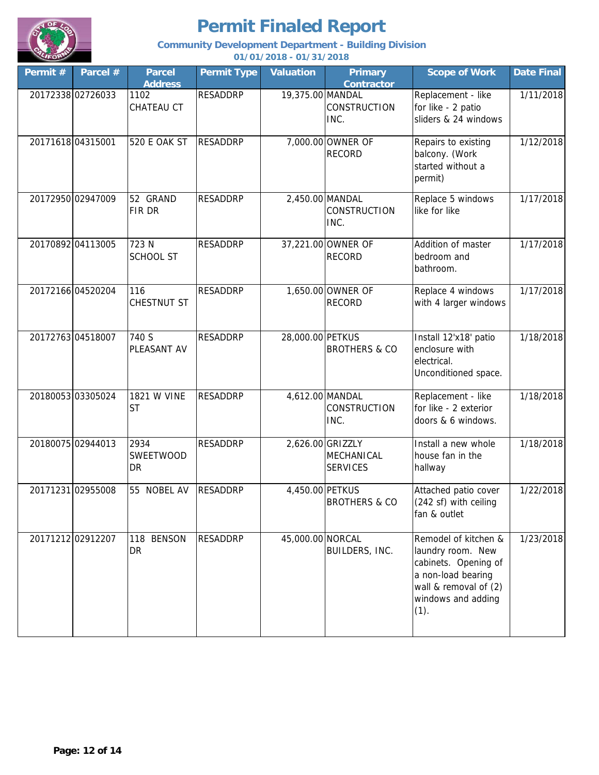

### **Community Development Department - Building Division**

| Permit # | Parcel #          | <b>Parcel</b><br><b>Address</b> | <b>Permit Type</b> | <b>Valuation</b> | <b>Primary</b><br><b>Contractor</b>               | <b>Scope of Work</b>                                                                                                                           | <b>Date Final</b> |
|----------|-------------------|---------------------------------|--------------------|------------------|---------------------------------------------------|------------------------------------------------------------------------------------------------------------------------------------------------|-------------------|
|          | 20172338 02726033 | 1102<br>CHATEAU CT              | <b>RESADDRP</b>    | 19,375.00 MANDAL | <b>CONSTRUCTION</b><br>INC.                       | Replacement - like<br>for like - 2 patio<br>sliders & 24 windows                                                                               | 1/11/2018         |
|          | 20171618 04315001 | <b>520 E OAK ST</b>             | <b>RESADDRP</b>    |                  | 7,000.00 OWNER OF<br><b>RECORD</b>                | Repairs to existing<br>balcony. (Work<br>started without a<br>permit)                                                                          | 1/12/2018         |
|          | 20172950 02947009 | 52 GRAND<br>FIR DR              | <b>RESADDRP</b>    |                  | 2,450.00 MANDAL<br><b>CONSTRUCTION</b><br>INC.    | Replace 5 windows<br>like for like                                                                                                             | 1/17/2018         |
|          | 20170892 04113005 | 723 N<br><b>SCHOOL ST</b>       | <b>RESADDRP</b>    |                  | 37,221.00 OWNER OF<br><b>RECORD</b>               | Addition of master<br>bedroom and<br>bathroom.                                                                                                 | 1/17/2018         |
|          | 20172166 04520204 | 116<br>CHESTNUT ST              | <b>RESADDRP</b>    |                  | 1,650.00 OWNER OF<br><b>RECORD</b>                | Replace 4 windows<br>with 4 larger windows                                                                                                     | 1/17/2018         |
|          | 20172763 04518007 | 740 S<br>PLEASANT AV            | <b>RESADDRP</b>    | 28,000.00 PETKUS | <b>BROTHERS &amp; CO</b>                          | Install 12'x18' patio<br>enclosure with<br>electrical.<br>Unconditioned space.                                                                 | 1/18/2018         |
|          | 20180053 03305024 | 1821 W VINE<br><b>ST</b>        | <b>RESADDRP</b>    |                  | 4,612.00 MANDAL<br><b>CONSTRUCTION</b><br>INC.    | Replacement - like<br>for like - 2 exterior<br>doors & 6 windows.                                                                              | 1/18/2018         |
|          | 20180075 02944013 | 2934<br>SWEETWOOD<br>DR         | <b>RESADDRP</b>    |                  | 2,626.00 GRIZZLY<br>MECHANICAL<br><b>SERVICES</b> | Install a new whole<br>house fan in the<br>hallway                                                                                             | 1/18/2018         |
|          | 20171231 02955008 | 55 NOBEL AV                     | <b>RESADDRP</b>    | 4,450.00 PETKUS  | <b>BROTHERS &amp; CO</b>                          | Attached patio cover<br>(242 sf) with ceiling<br>fan & outlet                                                                                  | 1/22/2018         |
|          | 20171212 02912207 | 118 BENSON<br><b>DR</b>         | <b>RESADDRP</b>    | 45,000.00 NORCAL | BUILDERS, INC.                                    | Remodel of kitchen &<br>laundry room. New<br>cabinets. Opening of<br>a non-load bearing<br>wall & removal of (2)<br>windows and adding<br>(1). | 1/23/2018         |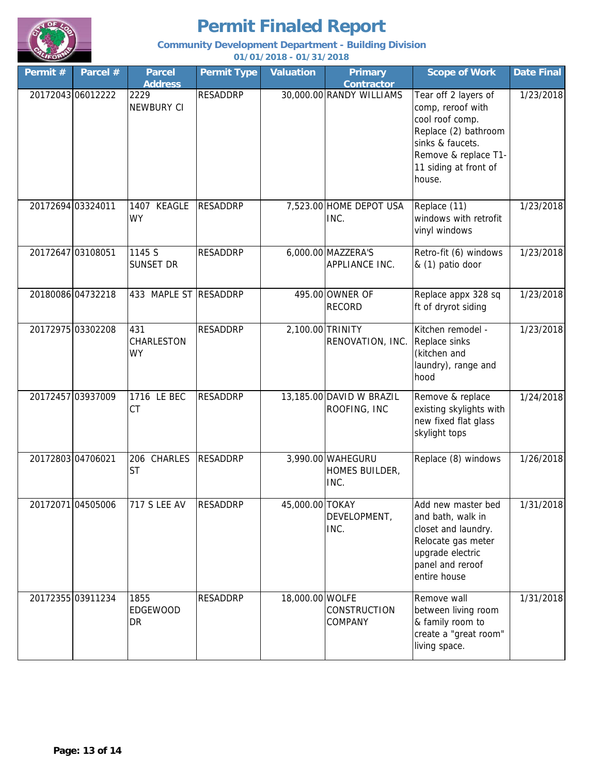

### **Community Development Department - Building Division**

| Permit # | Parcel #          | <b>Parcel</b><br><b>Address</b>       | <b>Permit Type</b> | <b>Valuation</b> | <b>Primary</b><br><b>Contractor</b>         | <b>Scope of Work</b>                                                                                                                                                | <b>Date Final</b> |
|----------|-------------------|---------------------------------------|--------------------|------------------|---------------------------------------------|---------------------------------------------------------------------------------------------------------------------------------------------------------------------|-------------------|
|          | 20172043 06012222 | 2229<br>NEWBURY CI                    | <b>RESADDRP</b>    |                  | 30,000.00 RANDY WILLIAMS                    | Tear off 2 layers of<br>comp, reroof with<br>cool roof comp.<br>Replace (2) bathroom<br>sinks & faucets.<br>Remove & replace T1-<br>11 siding at front of<br>house. | 1/23/2018         |
|          | 20172694 03324011 | 1407 KEAGLE<br><b>WY</b>              | <b>RESADDRP</b>    |                  | 7,523.00 HOME DEPOT USA<br>INC.             | Replace (11)<br>windows with retrofit<br>vinyl windows                                                                                                              | 1/23/2018         |
|          | 20172647 03108051 | 1145 S<br><b>SUNSET DR</b>            | <b>RESADDRP</b>    |                  | 6,000.00 MAZZERA'S<br>APPLIANCE INC.        | Retro-fit (6) windows<br>& (1) patio door                                                                                                                           | 1/23/2018         |
|          | 20180086 04732218 | 433 MAPLE ST RESADDRP                 |                    |                  | 495.00 OWNER OF<br><b>RECORD</b>            | Replace appx 328 sq<br>ft of dryrot siding                                                                                                                          | 1/23/2018         |
|          | 20172975 03302208 | 431<br><b>CHARLESTON</b><br><b>WY</b> | <b>RESADDRP</b>    |                  | 2,100.00 TRINITY<br>RENOVATION, INC.        | Kitchen remodel -<br>Replace sinks<br>(kitchen and<br>laundry), range and<br>hood                                                                                   | 1/23/2018         |
|          | 20172457 03937009 | 1716 LE BEC<br><b>CT</b>              | <b>RESADDRP</b>    |                  | 13,185.00 DAVID W BRAZIL<br>ROOFING, INC    | Remove & replace<br>existing skylights with<br>new fixed flat glass<br>skylight tops                                                                                | 1/24/2018         |
|          | 20172803 04706021 | 206 CHARLES<br><b>ST</b>              | <b>RESADDRP</b>    |                  | 3,990.00 WAHEGURU<br>HOMES BUILDER,<br>INC. | Replace (8) windows                                                                                                                                                 | 1/26/2018         |
|          | 20172071 04505006 | 717 S LEE AV                          | RESADDRP           | 45,000.00 TOKAY  | DEVELOPMENT,<br>INC.                        | Add new master bed<br>and bath, walk in<br>closet and laundry.<br>Relocate gas meter<br>upgrade electric<br>panel and reroof<br>entire house                        | 1/31/2018         |
|          | 20172355 03911234 | 1855<br><b>EDGEWOOD</b><br>DR         | RESADDRP           | 18,000.00 WOLFE  | CONSTRUCTION<br>COMPANY                     | Remove wall<br>between living room<br>& family room to<br>create a "great room"<br>living space.                                                                    | 1/31/2018         |